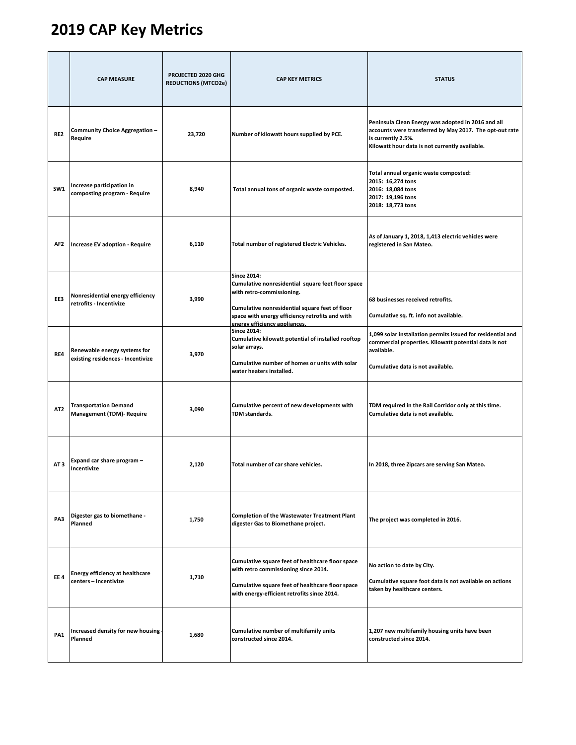## **2019 CAP Key Metrics**

|                 | <b>CAP MEASURE</b>                                                | PROJECTED 2020 GHG<br><b>REDUCTIONS (MTCO2e)</b> | <b>CAP KEY METRICS</b>                                                                                                                                                                                                                     | <b>STATUS</b>                                                                                                                                                                         |
|-----------------|-------------------------------------------------------------------|--------------------------------------------------|--------------------------------------------------------------------------------------------------------------------------------------------------------------------------------------------------------------------------------------------|---------------------------------------------------------------------------------------------------------------------------------------------------------------------------------------|
| RE <sub>2</sub> | Community Choice Aggregation -<br>Require                         | 23,720                                           | Number of kilowatt hours supplied by PCE.                                                                                                                                                                                                  | Peninsula Clean Energy was adopted in 2016 and all<br>accounts were transferred by May 2017. The opt-out rate<br>is currently 2.5%.<br>Kilowatt hour data is not currently available. |
| SW1             | Increase participation in<br>composting program - Require         | 8,940                                            | Total annual tons of organic waste composted.                                                                                                                                                                                              | Total annual organic waste composted:<br>2015: 16,274 tons<br>2016: 18,084 tons<br>2017: 19,196 tons<br>2018: 18,773 tons                                                             |
| AF2             | Increase EV adoption - Require                                    | 6,110                                            | Total number of registered Electric Vehicles.                                                                                                                                                                                              | As of January 1, 2018, 1,413 electric vehicles were<br>registered in San Mateo.                                                                                                       |
| EE3             | Nonresidential energy efficiency<br>retrofits - Incentivize       | 3,990                                            | <b>Since 2014:</b><br>Cumulative nonresidential square feet floor space<br>with retro-commissioning.<br>Cumulative nonresidential square feet of floor<br>space with energy efficiency retrofits and with<br>energy efficiency appliances. | 68 businesses received retrofits.<br>Cumulative sq. ft. info not available.                                                                                                           |
| RE4             | Renewable energy systems for<br>existing residences - Incentivize | 3,970                                            | <b>Since 2014:</b><br>Cumulative kilowatt potential of installed rooftop<br>solar arrays.<br>Cumulative number of homes or units with solar<br>water heaters installed.                                                                    | 1,099 solar installation permits issued for residential and<br>commercial properties. Kilowatt potential data is not<br>available.<br>Cumulative data is not available.               |
| AT <sub>2</sub> | <b>Transportation Demand</b><br><b>Management (TDM)- Require</b>  | 3,090                                            | Cumulative percent of new developments with<br>TDM standards.                                                                                                                                                                              | TDM required in the Rail Corridor only at this time.<br>Cumulative data is not available.                                                                                             |
| AT <sub>3</sub> | Expand car share program -<br>Incentivize                         | 2,120                                            | Total number of car share vehicles.                                                                                                                                                                                                        | In 2018, three Zipcars are serving San Mateo.                                                                                                                                         |
| PA3             | Digester gas to biomethane -<br>Planned                           | 1,750                                            | <b>Completion of the Wastewater Treatment Plant</b><br>digester Gas to Biomethane project.                                                                                                                                                 | The project was completed in 2016.                                                                                                                                                    |
| <b>EE4</b>      | <b>Energy efficiency at healthcare</b><br>centers - Incentivize   | 1,710                                            | Cumulative square feet of healthcare floor space<br>with retro commissioning since 2014.<br>Cumulative square feet of healthcare floor space<br>with energy-efficient retrofits since 2014.                                                | No action to date by City.<br>Cumulative square foot data is not available on actions<br>taken by healthcare centers.                                                                 |
| PA1             | Increased density for new housing<br>Planned                      | 1,680                                            | Cumulative number of multifamily units<br>constructed since 2014.                                                                                                                                                                          | 1,207 new multifamily housing units have been<br>constructed since 2014.                                                                                                              |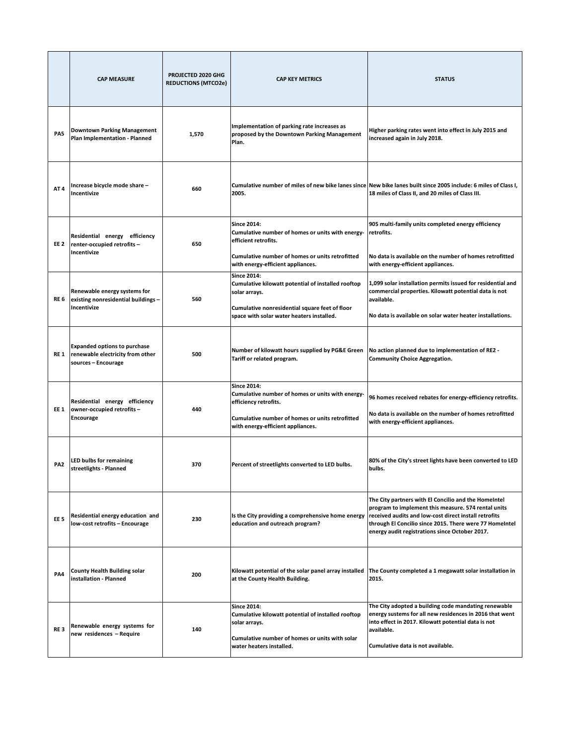|                 | <b>CAP MEASURE</b>                                                                             | PROJECTED 2020 GHG<br><b>REDUCTIONS (MTCO2e)</b> | <b>CAP KEY METRICS</b>                                                                                                                                                                   | <b>STATUS</b>                                                                                                                                                                                                                                                                     |
|-----------------|------------------------------------------------------------------------------------------------|--------------------------------------------------|------------------------------------------------------------------------------------------------------------------------------------------------------------------------------------------|-----------------------------------------------------------------------------------------------------------------------------------------------------------------------------------------------------------------------------------------------------------------------------------|
| PA5             | <b>Downtown Parking Management</b><br>Plan Implementation - Planned                            | 1,570                                            | Implementation of parking rate increases as<br>proposed by the Downtown Parking Management<br>Plan.                                                                                      | Higher parking rates went into effect in July 2015 and<br>increased again in July 2018.                                                                                                                                                                                           |
| AT 4            | Increase bicycle mode share -<br>Incentivize                                                   | 660                                              | 2005.                                                                                                                                                                                    | Cumulative number of miles of new bike lanes since New bike lanes built since 2005 include: 6 miles of Class I,<br>18 miles of Class II, and 20 miles of Class III.                                                                                                               |
| EE 2            | Residential energy efficiency<br>renter-occupied retrofits-<br>Incentivize                     | 650                                              | <b>Since 2014:</b><br>Cumulative number of homes or units with energy-<br>efficient retrofits.<br>Cumulative number of homes or units retrofitted<br>with energy-efficient appliances.   | 905 multi-family units completed energy efficiency<br>retrofits.<br>No data is available on the number of homes retrofitted<br>with energy-efficient appliances.                                                                                                                  |
| RE 6            | Renewable energy systems for<br>existing nonresidential buildings -<br>Incentivize             | 560                                              | <b>Since 2014:</b><br>Cumulative kilowatt potential of installed rooftop<br>solar arrays.<br>Cumulative nonresidential square feet of floor<br>space with solar water heaters installed. | 1,099 solar installation permits issued for residential and<br>commercial properties. Kilowatt potential data is not<br>available.<br>No data is available on solar water heater installations.                                                                                   |
| RE 1            | <b>Expanded options to purchase</b><br>renewable electricity from other<br>sources - Encourage | 500                                              | Number of kilowatt hours supplied by PG&E Green<br>Tariff or related program.                                                                                                            | No action planned due to implementation of RE2 -<br><b>Community Choice Aggregation.</b>                                                                                                                                                                                          |
| EE 1            | Residential energy efficiency<br>owner-occupied retrofits-<br>Encourage                        | 440                                              | <b>Since 2014:</b><br>Cumulative number of homes or units with energy-<br>efficiency retrofits.<br>Cumulative number of homes or units retrofitted<br>with energy-efficient appliances.  | 96 homes received rebates for energy-efficiency retrofits.<br>No data is available on the number of homes retrofitted<br>with energy-efficient appliances.                                                                                                                        |
| PA <sub>2</sub> | <b>LED bulbs for remaining</b><br>streetlights - Planned                                       | 370                                              | Percent of streetlights converted to LED bulbs.                                                                                                                                          | 80% of the City's street lights have been converted to LED<br>bulbs.                                                                                                                                                                                                              |
| EE <sub>5</sub> | Residential energy education and<br>low-cost retrofits - Encourage                             | 230                                              | Is the City providing a comprehensive home energy<br>education and outreach program?                                                                                                     | The City partners with El Concilio and the HomeIntel<br>program to implement this measure. 574 rental units<br>received audits and low-cost direct install retrofits<br>through El Concilio since 2015. There were 77 HomeIntel<br>energy audit registrations since October 2017. |
| PA4             | <b>County Health Building solar</b><br>installation - Planned                                  | 200                                              | Kilowatt potential of the solar panel array installed<br>at the County Health Building.                                                                                                  | The County completed a 1 megawatt solar installation in<br>2015.                                                                                                                                                                                                                  |
| RE <sub>3</sub> | Renewable energy systems for<br>new residences - Require                                       | 140                                              | <b>Since 2014:</b><br>Cumulative kilowatt potential of installed rooftop<br>solar arrays.<br>Cumulative number of homes or units with solar<br>water heaters installed.                  | The City adopted a building code mandating renewable<br>energy sustems for all new residences in 2016 that went<br>into effect in 2017. Kilowatt potential data is not<br>available.<br>Cumulative data is not available.                                                         |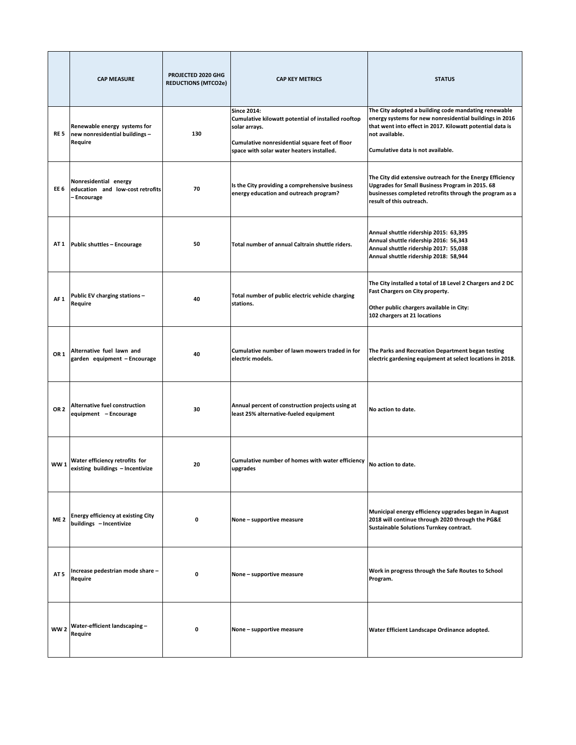|                 | <b>CAP MEASURE</b>                                                        | PROJECTED 2020 GHG<br><b>REDUCTIONS (MTCO2e)</b> | <b>CAP KEY METRICS</b>                                                                                                                                                                   | <b>STATUS</b>                                                                                                                                                                                                                       |
|-----------------|---------------------------------------------------------------------------|--------------------------------------------------|------------------------------------------------------------------------------------------------------------------------------------------------------------------------------------------|-------------------------------------------------------------------------------------------------------------------------------------------------------------------------------------------------------------------------------------|
| RE 5            | Renewable energy systems for<br>new nonresidential buildings -<br>Require | 130                                              | <b>Since 2014:</b><br>Cumulative kilowatt potential of installed rooftop<br>solar arrays.<br>Cumulative nonresidential square feet of floor<br>space with solar water heaters installed. | The City adopted a building code mandating renewable<br>energy systems for new nonresidential buildings in 2016<br>that went into effect in 2017. Kilowatt potential data is<br>not available.<br>Cumulative data is not available. |
| EE 6            | Nonresidential energy<br>education and low-cost retrofits<br>- Encourage  | 70                                               | Is the City providing a comprehensive business<br>energy education and outreach program?                                                                                                 | The City did extensive outreach for the Energy Efficiency<br>Upgrades for Small Business Program in 2015. 68<br>businesses completed retrofits through the program as a<br>result of this outreach.                                 |
| AT 1            | <b>Public shuttles - Encourage</b>                                        | 50                                               | Total number of annual Caltrain shuttle riders.                                                                                                                                          | Annual shuttle ridership 2015: 63,395<br>Annual shuttle ridership 2016: 56,343<br>Annual shuttle ridership 2017: 55,038<br>Annual shuttle ridership 2018: 58,944                                                                    |
| AF <sub>1</sub> | Public EV charging stations -<br>Require                                  | 40                                               | Total number of public electric vehicle charging<br>stations.                                                                                                                            | The City installed a total of 18 Level 2 Chargers and 2 DC<br>Fast Chargers on City property.<br>Other public chargers available in City:<br>102 chargers at 21 locations                                                           |
| OR <sub>1</sub> | Alternative fuel lawn and<br>garden equipment - Encourage                 | 40                                               | Cumulative number of lawn mowers traded in for<br>electric models.                                                                                                                       | The Parks and Recreation Department began testing<br>electric gardening equipment at select locations in 2018.                                                                                                                      |
| OR <sub>2</sub> | Alternative fuel construction<br>equipment - Encourage                    | 30                                               | Annual percent of construction projects using at<br>least 25% alternative-fueled equipment                                                                                               | No action to date.                                                                                                                                                                                                                  |
| <b>WW1</b>      | Water efficiency retrofits for<br>existing buildings - Incentivize        | 20                                               | Cumulative number of homes with water efficiency<br>upgrades                                                                                                                             | No action to date.                                                                                                                                                                                                                  |
| ME <sub>2</sub> | <b>Energy efficiency at existing City</b><br>buildings - Incentivize      | 0                                                | None - supportive measure                                                                                                                                                                | Municipal energy efficiency upgrades began in August<br>2018 will continue through 2020 through the PG&E<br><b>Sustainable Solutions Turnkey contract.</b>                                                                          |
| AT <sub>5</sub> | Increase pedestrian mode share -<br>Require                               | 0                                                | None - supportive measure                                                                                                                                                                | Work in progress through the Safe Routes to School<br>Program.                                                                                                                                                                      |
| <b>WW2</b>      | Water-efficient landscaping-<br>Require                                   | $\mathbf 0$                                      | None - supportive measure                                                                                                                                                                | Water Efficient Landscape Ordinance adopted.                                                                                                                                                                                        |